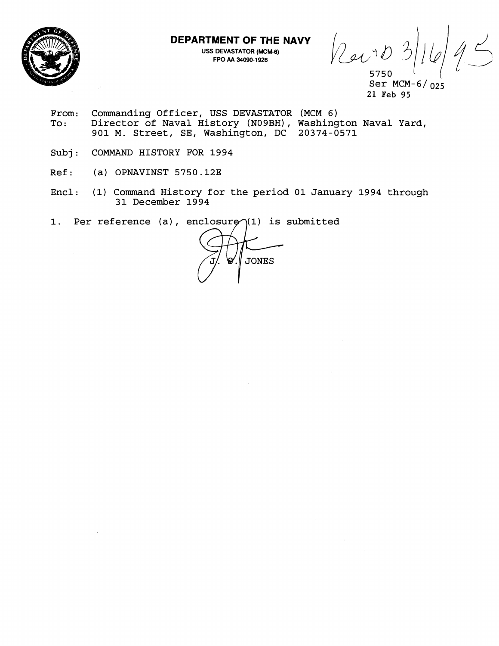

**DEPARTMENT OF THE NAVY** 

**USS DEVASTATOR (MCM-6) FPO AA 34090-1 926** 

Revo 5750

Ser MCM-6/ 025 21 Feb 95

- From: Commanding Officer, USS DEVASTATOR (MCM 6)<br>To: Director of Naval History (N09BH), Washing Tiom: Commanding Officer, 055 BavaSiaton (new 0)<br>To: Director of Naval History (N09BH), Washington Naval Yard, 901 M. Street, SE, Washington, DC 20374-0571
- Subj: COMMAND HISTORY FOR 1994
- $Ref:$  (a) OPNAVINST 5750.12E
- Encl: (1) Command History for the period 01 January 1994 through 31 December 1994
- 1. Per reference (a), enclosure $\gamma$ (1) is submitted

**JONES**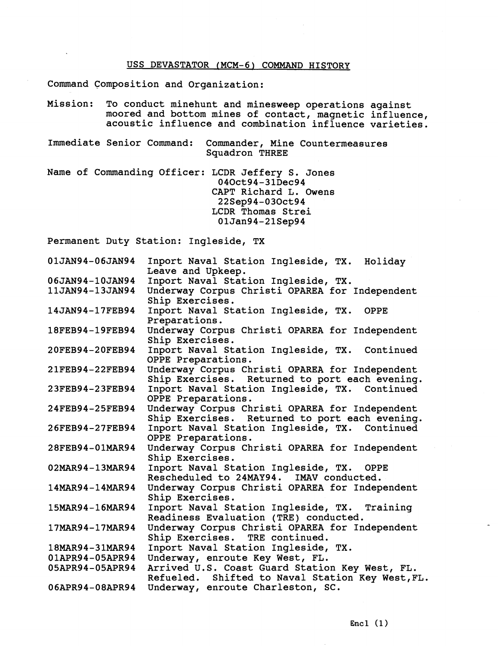# USS DEVASTATOR (MCM-6) COMMAND HISTORY

Command Composition and Organization:

- Mission: To conduct minehunt and minesweep operations against moored and bottom mines of contact, magnetic influence, acoustic influence and combination influence varieties.
- Immediate Senior Command: Commander, Mine Countermeasures Squadron THREE

Name of Commanding Officer: LCDR Jeffery S. Jones 040ct94-31Dec94 CAPT Richard L. Owens 22Sep94-030ct94 LCDR Thomas Strei 01Jan94-21Sep94

Permanent Duty Station: Ingleside, TX

| 01JAN94-06JAN94     | Inport Naval Station Ingleside, TX. Holiday<br>Leave and Upkeep.                                   |
|---------------------|----------------------------------------------------------------------------------------------------|
| 06JAN94-10JAN94     | Inport Naval Station Ingleside, TX.                                                                |
| 11JAN94-13JAN94     | Underway Corpus Christi OPAREA for Independent<br>Ship Exercises.                                  |
| 14JAN94-17FEB94     | Inport Naval Station Ingleside, TX.<br><b>OPPE</b><br>Preparations.                                |
| 18FEB94-19FEB94     | Underway Corpus Christi OPAREA for Independent<br>Ship Exercises.                                  |
| 20FEB94-20FEB94     | Inport Naval Station Ingleside, TX. Continued<br>OPPE Preparations.                                |
| 21FEB94-22FEB94     | Underway Corpus Christi OPAREA for Independent<br>Ship Exercises. Returned to port each evening.   |
| 23FEB94-23FEB94     | Inport Naval Station Ingleside, TX. Continued<br>OPPE Preparations.                                |
| 24FEB94-25FEB94     | Underway Corpus Christi OPAREA for Independent<br>Ship Exercises. Returned to port each evening.   |
| 26FEB94-27FEB94     | Inport Naval Station Ingleside, TX. Continued<br>OPPE Preparations.                                |
| 28FEB94-01MAR94     | Underway Corpus Christi OPAREA for Independent<br>Ship Exercises.                                  |
| 02MAR94-13MAR94     | Inport Naval Station Ingleside, TX. OPPE<br>Rescheduled to 24MAY94. IMAV conducted.                |
| $14MAR94 - 14MAR94$ | Underway Corpus Christi OPAREA for Independent<br>Ship Exercises.                                  |
| 15MAR94-16MAR94     | Inport Naval Station Ingleside, TX. Training<br>Readiness Evaluation (TRE) conducted.              |
| 17MAR94-17MAR94     | Underway Corpus Christi OPAREA for Independent<br>Ship Exercises. TRE continued.                   |
| 18MAR94-31MAR94     | Inport Naval Station Ingleside, TX.                                                                |
| 01APR94-05APR94     | Underway, enroute Key West, FL.                                                                    |
| 05APR94-05APR94     | Arrived U.S. Coast Guard Station Key West, FL.<br>Refueled. Shifted to Naval Station Key West, FL. |
| 06APR94-08APR94     | Underway, enroute Charleston, SC.                                                                  |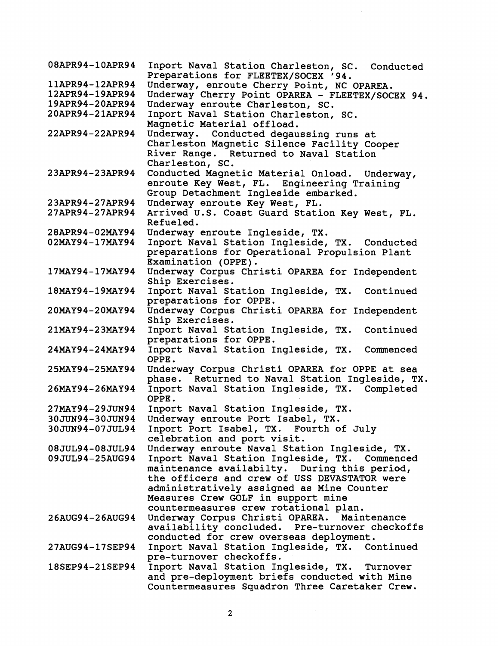| 08APR94-10APR94 | Inport Naval Station Charleston, SC. Conducted<br>Preparations for FLEETEX/SOCEX '94.           |
|-----------------|-------------------------------------------------------------------------------------------------|
| 11APR94-12APR94 | Underway, enroute Cherry Point, NC OPAREA.                                                      |
| 12APR94-19APR94 | Underway Cherry Point OPAREA - FLEETEX/SOCEX 94.                                                |
| 19APR94-20APR94 | Underway enroute Charleston, SC.                                                                |
| 20APR94-21APR94 | Inport Naval Station Charleston, SC.<br>Magnetic Material offload.                              |
| 22APR94-22APR94 | Underway. Conducted degaussing runs at                                                          |
|                 | Charleston Magnetic Silence Facility Cooper                                                     |
|                 | River Range. Returned to Naval Station<br>Charleston, SC.                                       |
| 23APR94-23APR94 | Conducted Magnetic Material Onload. Underway,                                                   |
|                 | enroute Key West, FL. Engineering Training<br>Group Detachment Ingleside embarked.              |
| 23APR94-27APR94 | Underway enroute Key West, FL.                                                                  |
| 27APR94-27APR94 | Arrived U.S. Coast Guard Station Key West, FL.                                                  |
|                 | Refueled.                                                                                       |
| 28APR94-02MAY94 | Underway enroute Ingleside, TX.                                                                 |
| 02MAY94-17MAY94 | Inport Naval Station Ingleside, TX. Conducted                                                   |
|                 | preparations for Operational Propulsion Plant<br>Examination (OPPE).                            |
| 17MAY94-17MAY94 | Underway Corpus Christi OPAREA for Independent                                                  |
|                 | Ship Exercises.                                                                                 |
| 18MAY94-19MAY94 | Inport Naval Station Ingleside, TX. Continued                                                   |
|                 | preparations for OPPE.                                                                          |
| 20MAY94-20MAY94 | Underway Corpus Christi OPAREA for Independent<br>Ship Exercises.                               |
| 21MAY94-23MAY94 | Inport Naval Station Ingleside, TX. Continued                                                   |
|                 | preparations for OPPE.                                                                          |
| 24MAY94-24MAY94 | Inport Naval Station Ingleside, TX. Commenced<br>OPPE.                                          |
| 25MAY94-25MAY94 | Underway Corpus Christi OPAREA for OPPE at sea                                                  |
|                 | phase. Returned to Naval Station Ingleside, TX.                                                 |
| 26MAY94-26MAY94 | Inport Naval Station Ingleside, TX. Completed                                                   |
|                 | OPPE.                                                                                           |
| 27MAY94-29JUN94 | Inport Naval Station Ingleside, TX.                                                             |
| 30JUN94-30JUN94 | Underway enroute Port Isabel, TX.                                                               |
| 30JUN94-07JUL94 | Inport Port Isabel, TX. Fourth of July                                                          |
|                 | celebration and port visit.                                                                     |
| 08JUL94-08JUL94 | Underway enroute Naval Station Ingleside, TX.                                                   |
| 09JUL94-25AUG94 | Inport Naval Station Ingleside, TX. Commenced                                                   |
|                 | maintenance availabilty. During this period,                                                    |
|                 | the officers and crew of USS DEVASTATOR were                                                    |
|                 | administratively assigned as Mine Counter                                                       |
|                 | Measures Crew GOLF in support mine                                                              |
|                 | countermeasures crew rotational plan.                                                           |
| 26AUG94-26AUG94 | Underway Corpus Christi OPAREA. Maintenance                                                     |
|                 | availability concluded. Pre-turnover checkoffs                                                  |
|                 | conducted for crew overseas deployment.                                                         |
| 27AUG94-17SEP94 | Inport Naval Station Ingleside, TX. Continued                                                   |
|                 | pre-turnover checkoffs.                                                                         |
| 18SEP94-21SEP94 | Inport Naval Station Ingleside, TX. Turnover                                                    |
|                 | and pre-deployment briefs conducted with Mine<br>Countermeasures Squadron Three Caretaker Crew. |
|                 |                                                                                                 |

 $\hat{\boldsymbol{\epsilon}}$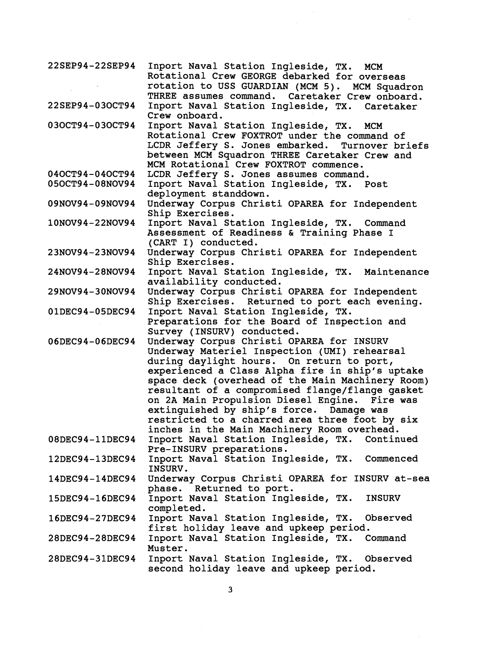| 22SEP94-22SEP94           | Inport Naval Station Ingleside, TX. MCM<br>Rotational Crew GEORGE debarked for overseas<br>rotation to USS GUARDIAN (MCM 5). MCM Squadron                      |
|---------------------------|----------------------------------------------------------------------------------------------------------------------------------------------------------------|
| 22SEP94-03OCT94           | THREE assumes command. Caretaker Crew onboard.<br>Inport Naval Station Ingleside, TX. Caretaker                                                                |
| 030CT94-030CT94           | Crew onboard.<br>Inport Naval Station Ingleside, TX.<br>MCM<br>Rotational Crew FOXTROT under the command of<br>LCDR Jeffery S. Jones embarked. Turnover briefs |
|                           | between MCM Squadron THREE Caretaker Crew and<br>MCM Rotational Crew FOXTROT commence.                                                                         |
| 040CT94-040CT94           | LCDR Jeffery S. Jones assumes command.                                                                                                                         |
| 050CT94-08NOV94           | Inport Naval Station Ingleside, TX. Post                                                                                                                       |
|                           | deployment standdown.                                                                                                                                          |
| 09NOV94-09NOV94           | Underway Corpus Christi OPAREA for Independent                                                                                                                 |
|                           | Ship Exercises.                                                                                                                                                |
| 10NOV94-22NOV94           | Inport Naval Station Ingleside, TX. Command                                                                                                                    |
|                           | Assessment of Readiness & Training Phase I                                                                                                                     |
|                           | (CART I) conducted.                                                                                                                                            |
| 23NOV94-23NOV94           | Underway Corpus Christi OPAREA for Independent                                                                                                                 |
|                           | Ship Exercises.                                                                                                                                                |
| 24NOV94-28NOV94           | Inport Naval Station Ingleside, TX. Maintenance                                                                                                                |
|                           | availability conducted.                                                                                                                                        |
| 29NOV94-30NOV94           | Underway Corpus Christi OPAREA for Independent                                                                                                                 |
|                           | Ship Exercises. Returned to port each evening.                                                                                                                 |
| 01DEC94-05DEC94           | Inport Naval Station Ingleside, TX.                                                                                                                            |
|                           | Preparations for the Board of Inspection and                                                                                                                   |
|                           | Survey (INSURV) conducted.                                                                                                                                     |
| 06DEC94-06DEC94           | Underway Corpus Christi OPAREA for INSURV                                                                                                                      |
|                           | Underway Materiel Inspection (UMI) rehearsal                                                                                                                   |
|                           | during daylight hours. On return to port,                                                                                                                      |
|                           | experienced a Class Alpha fire in ship's uptake                                                                                                                |
|                           | space deck (overhead of the Main Machinery Room)                                                                                                               |
|                           | resultant of a compromised flange/flange gasket                                                                                                                |
|                           | on 2A Main Propulsion Diesel Engine. Fire was                                                                                                                  |
|                           | extinguished by ship's force. Damage was                                                                                                                       |
|                           | restricted to a charred area three foot by six                                                                                                                 |
|                           | inches in the Main Machinery Room overhead.                                                                                                                    |
| 08DEC94-11DEC94           | Inport Naval Station Ingleside, TX.<br>Continued                                                                                                               |
|                           | Pre-INSURV preparations.                                                                                                                                       |
| 12DEC94-13DEC94           | Inport Naval Station Ingleside, TX.<br>Commenced                                                                                                               |
|                           | INSURV.                                                                                                                                                        |
| $14$ DEC $94-14$ DEC $94$ | Underway Corpus Christi OPAREA for INSURV at-sea                                                                                                               |
|                           | phase. Returned to port.                                                                                                                                       |
| 15DEC94-16DEC94           | Inport Naval Station Ingleside, TX.<br><b>INSURV</b>                                                                                                           |
|                           | completed.                                                                                                                                                     |
| 16DEC94-27DEC94           | Inport Naval Station Ingleside, TX.<br>Observed                                                                                                                |
|                           |                                                                                                                                                                |
| 28DEC94-28DEC94           | first holiday leave and upkeep period.<br>Inport Naval Station Ingleside, TX. Command                                                                          |
|                           | Muster.                                                                                                                                                        |
| 28DEC94-31DEC94           | Inport Naval Station Ingleside, TX. Observed                                                                                                                   |
|                           | second holiday leave and upkeep period.                                                                                                                        |
|                           |                                                                                                                                                                |

 $\bar{.}$ 

 $\overline{\mathbf{3}}$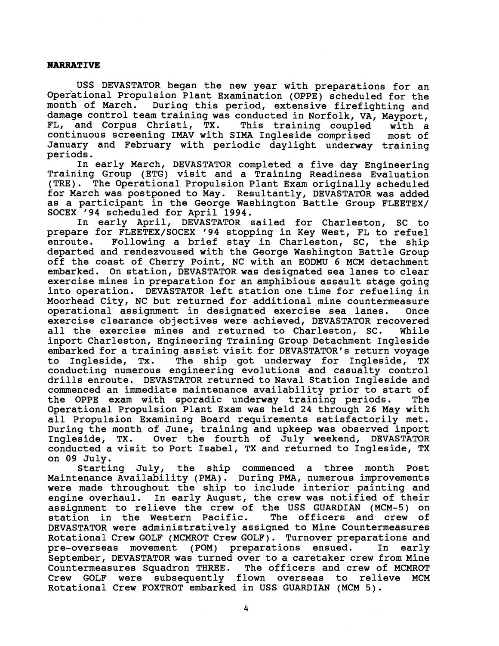#### **NARRATIVE**

USS DEVASTATOR began the new year with preparations for an Operational Propulsion Plant Examination (OPPE) scheduled for the month of March. During this period, extensive firefighting and damage control team training was conducted in Norfolk, VA, Mayport,<br>FL, and Corpus Christi, TX. This training coupled with a FL, and Corpus Christi, TX. This training coupled with a continuous screening IMAV with SIMA Ingleside comprised most of January and February with periodic daylight underway training periods.

In early March, DEVASTATOR completed a five day Engineering Training Group (ETG) visit and a Training Readiness Evaluation (TRE). The Operational Propulsion Plant Exam originally scheduled for March was postponed to May. Resultantly, DEVASTATOR was added as a participant in the George Washington Battle Group FLEETEX/ SOCEX '94 scheduled for April 1994.

In early April, DEVASTATOR sailed for Charleston, SC to prepare for FLEETEX/SOCEX '94 stopping in Key West, FL to refuel<br>enroute. Following a brief stay in Charleston, SC, the ship Following a brief stay in Charleston, SC, the ship departed and rendezvoused with the George Washington Battle Group off the coast of Cherry Point, NC with an EODMU 6 MCM detachment embarked. On station, DEVASTATOR was designated sea lanes to clear exercise mines in preparation for an amphibious assault stage going into operation. DEVASTATOR left station one time for refueling in Moorhead City, NC but returned for additional mine countermeasure operational assignment in designated exercise sea lanes. Once exercise clearance objectives were achieved, DEVASTATOR recovered all the exercise mines and returned to Charleston, SC. While inport Charleston, Engineering Training Group Detachment Ingleside embarked for a training assist visit for DEVASTATOR's return voyage<br>to Ingleside, Tx. The ship got underway for Ingleside, TX to Ingleside, Tx. The ship got underway for Ingleside, TX conducting numerous engineering evolutions and casualty control drills enroute. DEVASTATOR returned to Naval Station Ingleside and commenced an immediate maintenance availability prior to start of the OPPE exam with sporadic underway training periods. The Operational Propulsion Plant Exam was held 24 through 26 May with all Propulsion Examining Board requirements satisfactorily met. During the month of June, training and upkeep was observed inport<br>Ingleside, TX. Over the fourth of July weekend, DEVASTATOR Over the fourth of  $July$  weekend, DEVASTATOR conducted a visit to Port Isabel, TX and returned to Ingleside, TX on 09 July.

Starting July, the ship commenced a three month Post Maintenance Availability (PMA). During PMA, numerous improvements were made throughout the ship to include interior painting and engine overhaul. In early August, the crew was notified of their assignment to relieve the crew of the USS GUARDIAN (MCM-5) on station in the Western Pacific. The officers and crew of DEVASTATOR were administratively assigned to Mine Countermeasures Rotational Crew GOLF (MCMROT Crew GOLF). Turnover preparations and pre-overseas movement (POM) preparations ensued. In early September, DEVASTATOR was turned over to a caretaker crew from Mine Countermeasures Squadron THREE. The officers and crew of MCMROT<br>Crew GOLF were subsequently flown overseas to relieve MCM Crew GOLF were subsequently flown overseas Rotational Crew FOXTROT embarked in USS GUARDIAN (MCM 5).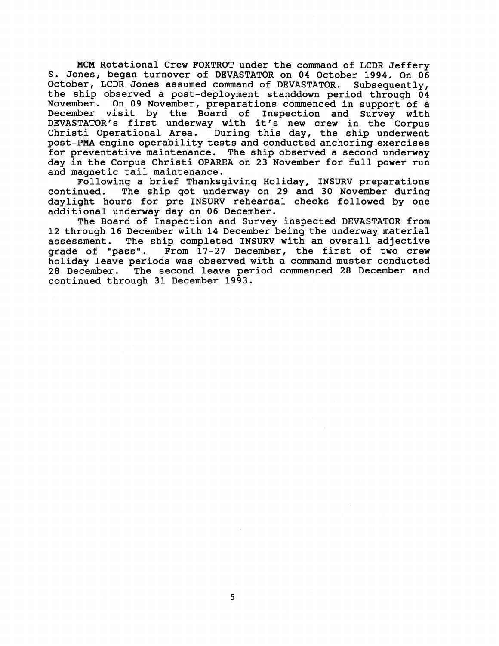MCM Rotational Crew FOXTROT under the command of LCDR Jeffery S. Jones, began turnover of DEVASTATOR on **04** October **1994.** On **06**  October, LCDR Jones assumed command of DEVASTATOR. Subsequently, the ship observed a post-deployment standdown period through **04**  November. On **09** November, preparations commenced in support of a December visit by the Board of Inspection and Survey with DEVASTATOR'S first underway with it's new crew in the Corpus Christi Operational Area. During this day, the ship underwent post-PMA engine operability tests and conducted anchoring exercises for preventative maintenance. The ship observed a second underway day in the Corpus Christi OPAREA on **23** November for full power run and magnetic tail maintenance.

Following a brief Thanksgiving Holiday, INSURV preparations<br>continued. The ship got underway on 29 and 30 November during The ship got underway on 29 and 30 November during daylight hours for pre-INSURV rehearsal checks followed by one additional underway day on **06** December.

The Board of Inspection and Survey inspected DEVASTATOR from **12** through **16** December with **14** December being the underway material The ship completed INSURV with an overall adjective grade of "pass". From **17-27** December, the first of two crew holiday leave periods was observed with a command muster conducted **28** December. The second leave period commenced **28** December and continued through **31** December **1993.**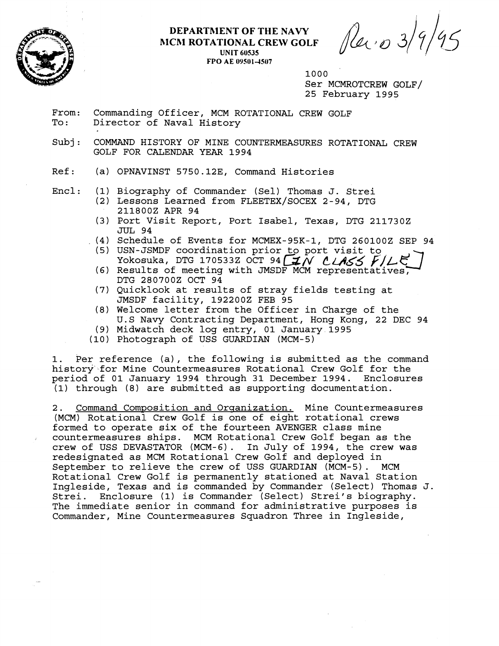

### **DEPARTRIENT OF THE NAVY MCM ROTATIONAL CREW GOLF UNIT 60535 FPO AE 095014S07**

*Revi o 3/9* 

1000

Ser MCMROTCREW GOLF/ 25 February 1995

- From: Commanding Officer, MCM ROTATIONAL CREW GOLF<br>To: Director of Naval History Director of Naval History
- Subj: COMMAND HISTORY OF MINE COUNTERMEASURES ROTATIONAL CREW GOLF FOR CALENDAR YEAR 1994

Ref: (a) OPNAVINST 5750.12E, Command Histories

- Encl: (1) Biography of Commander (Sell Thomas J. Strei
	- (2) Lessons Learned from FLEETEX/SOCEX 2-94, DTG 2118002 APR 94
	- (3) Port Visit Report, Port Isabel, Texas, DTG 2117302 JUL 94
	- (4) Schedule of Events for MCMEX-95K-1, DTG 2601002 SEP 94
		- (5) USN-JSMDF coordination prior to port visit to Yokosuka, DTG 170533Z OCT 94  $\mathcal{I}N$   $\mathcal{L}ASS$   $\mathcal{F}/L\mathcal{F}$
		- (6) Results of meeting with JMSDF MCM representatives, DTG 2807002 OCT 94
		- (7) Quicklook at results of stray fields testing at JMSDF facility, 1922002 FEB 95
		- (8) Welcome letter from the Officer in Charge of the U.S Navy Contracting Department, Hong Kong, 22 DEC 94
		- (9) Midwatch deck log entry, 01 January 1995
	- (10) Photograph of USS GUARDIAN (MCM-5)

1. Per reference (a), the following is submitted as the command history for Mine Countermeasures Rotational Crew Golf for the period of 01 January 1994 through 31 December 1994. Enclosures (1) through (8) are submitted as supporting documentation.

2. Command Composition and Organization. Mine Countermeasures (MCM) Rotational Crew Golf is one of eight rotational crews formed to operate six of the fourteen AVENGER class mine countermeasures ships. MCM Rotational Crew Golf began as the crew of USS DEVASTATOR (MCM-6). In July of 1994, the crew was redesignated as MCM Rotational Crew Golf and deployed in September to relieve the crew of USS GUARDIAN (MCM-5). MCM Rotational Crew Golf is permanently stationed at Naval Station Ingleside, Texas and is commanded by Commander (Select) Thomas J. Strei. Enclosure (1) is Commander (Select) Strei's biography. The immediate senior in command for administrative purposes is Commander, Mine Countermeasures Squadron Three in Ingleside,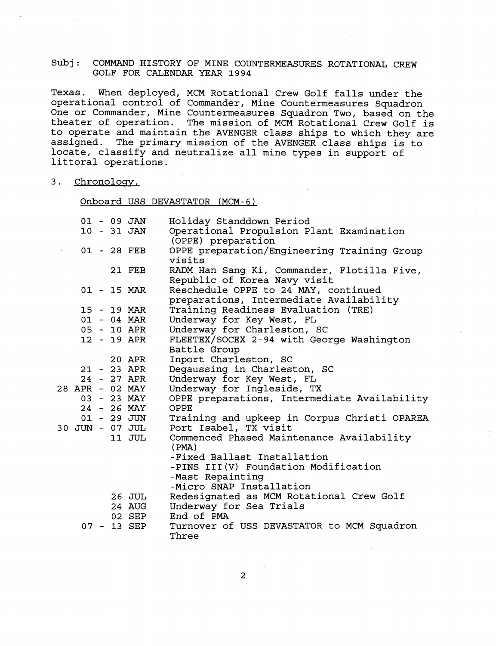Texas. When deployed, MCM Rotational Crew Golf falls under the operational control of Commander, Mine Countermeasures Squadron One or Commander, Mine Countermeasures Squadron Two, based on the theater of operation. The mission of MCM Rotational Crew Golf is to operate and maintain the AVENGER class ships to which they are assigned. The primary mission of the AVENGER class ships is to locate, classify and neutralize all mine types in support of littoral operations.

3. Chronology.

Onboard USS DEVASTATOR (MCM-6)

|                 |  | $01 - 09$ JAN   | Holiday Standdown Period                                                        |
|-----------------|--|-----------------|---------------------------------------------------------------------------------|
|                 |  | $10 - 31$ JAN   | Operational Propulsion Plant Examination<br>(OPPE) preparation                  |
|                 |  | 01 - 28 FEB     | OPPE preparation/Engineering Training Group<br>visits                           |
|                 |  | 21 FEB          | RADM Han Sang Ki, Commander, Flotilla Five,<br>Republic of Korea Navy visit     |
|                 |  | 01 - 15 MAR     | Reschedule OPPE to 24 MAY, continued<br>preparations, Intermediate Availability |
|                 |  | 15 - 19 MAR     | Training Readiness Evaluation (TRE)                                             |
|                 |  | 01 - 04 MAR     | Underway for Key West, FL                                                       |
|                 |  | 05 - 10 APR     | Underway for Charleston, SC                                                     |
|                 |  | 12 - 19 APR     | FLEETEX/SOCEX 2-94 with George Washington                                       |
|                 |  |                 | Battle Group                                                                    |
|                 |  | 20 APR          | Inport Charleston, SC                                                           |
|                 |  | $21 - 23$ APR   | Degaussing in Charleston, SC                                                    |
|                 |  | 24 - 27 APR     | Underway for Key West, FL                                                       |
| 28 APR - 02 MAY |  |                 | Underway for Ingleside, TX                                                      |
|                 |  | 03 - 23 MAY     | OPPE preparations, Intermediate Availability                                    |
|                 |  | 24 - 26 MAY     | OPPE                                                                            |
|                 |  | $01 - 29$ JUN   | Training and upkeep in Corpus Christi OPAREA                                    |
|                 |  | 30 JUN - 07 JUL | Port Isabel, TX visit                                                           |
|                 |  | 11 JUL          | Commenced Phased Maintenance Availability<br>(PMA)                              |
|                 |  |                 | -Fixed Ballast Installation                                                     |
|                 |  |                 | -PINS III(V) Foundation Modification                                            |
|                 |  |                 | -Mast Repainting                                                                |
|                 |  |                 | -Micro SNAP Installation                                                        |
|                 |  | 26 JUL          | Redesignated as MCM Rotational Crew Golf                                        |
|                 |  | 24 AUG          | Underway for Sea Trials                                                         |
|                 |  | 02 SEP          | End of PMA                                                                      |
|                 |  | 07 - 13 SEP     | Turnover of USS DEVASTATOR to MCM Squadron                                      |
|                 |  |                 | Three                                                                           |

2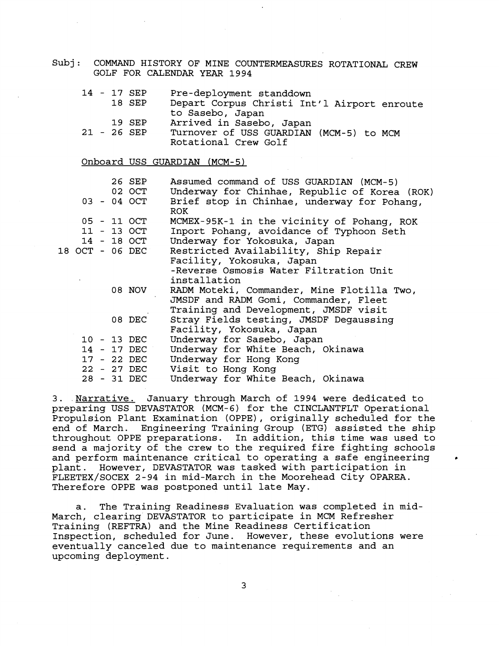|  |  | Pre-deployment standdown<br>Depart Corpus Christi Int'l Airport enroute<br>to Sasebo, Japan<br>Arrived in Sasebo, Japan                                                                                                                          |
|--|--|--------------------------------------------------------------------------------------------------------------------------------------------------------------------------------------------------------------------------------------------------|
|  |  | Turnover of USS GUARDIAN (MCM-5) to MCM<br>Rotational Crew Golf                                                                                                                                                                                  |
|  |  | Onboard USS GUARDIAN (MCM-5)                                                                                                                                                                                                                     |
|  |  | Assumed command of USS GUARDIAN (MCM-5)<br>Underway for Chinhae, Republic of Korea (ROK)                                                                                                                                                         |
|  |  | Brief stop in Chinhae, underway for Pohang,<br><b>ROK</b>                                                                                                                                                                                        |
|  |  | MCMEX-95K-1 in the vicinity of Pohang, ROK                                                                                                                                                                                                       |
|  |  | Inport Pohang, avoidance of Typhoon Seth                                                                                                                                                                                                         |
|  |  | Underway for Yokosuka, Japan                                                                                                                                                                                                                     |
|  |  | Restricted Availability, Ship Repair                                                                                                                                                                                                             |
|  |  | Facility, Yokosuka, Japan<br>-Reverse Osmosis Water Filtration Unit<br>installation                                                                                                                                                              |
|  |  | RADM Moteki, Commander, Mine Flotilla Two,<br>JMSDF and RADM Gomi, Commander, Fleet<br>Training and Development, JMSDF visit                                                                                                                     |
|  |  | Stray Fields testing, JMSDF Degaussing<br>Facility, Yokosuka, Japan                                                                                                                                                                              |
|  |  | Underway for Sasebo, Japan                                                                                                                                                                                                                       |
|  |  | Underway for White Beach, Okinawa                                                                                                                                                                                                                |
|  |  | Underway for Hong Kong                                                                                                                                                                                                                           |
|  |  | Visit to Hong Kong                                                                                                                                                                                                                               |
|  |  | Underway for White Beach, Okinawa                                                                                                                                                                                                                |
|  |  | 14 - 17 SEP<br>18 SEP<br>19 SEP<br>21 - 26 SEP<br>26 SEP<br>02 OCT<br>03 - 04 OCT<br>05 - 11 OCT<br>11 - 13 OCT<br>14 - 18 OCT<br>18 OCT - 06 DEC<br>08 NOV<br>08 DEC<br>10 - 13 DEC<br>14 - 17 DEC<br>17 - 22 DEC<br>22 - 27 DEC<br>28 - 31 DEC |

3. Narrative. January through March of 1994 were dedicated to preparing USS DEVASTATOR (MCM-6) for the CINCLANTFLT Operational Propulsion Plant Examination (OPPE), originally scheduled for the end of March. Engineering Training Group (ETG) assisted the ship throughout OPPE preparations. In addition, this time was used to send a majority of the crew to the required fire fighting schools and perform maintenance critical to operating a safe engineering plant. However, DEVASTATOR was tasked with participation in FLEETEX/SOCEX 2-94 in mid-March in the Moorehead City OPAREA. Therefore OPPE was postponed until late May.

a. The Training Readiness Evaluation was completed in mid-March, clearing DEVASTATOR to participate in MCM Refresher Training (REFTRA) and the Mine Readiness Certification Inspection, scheduled for June. However, these evolutions were eventually canceled due to maintenance requirements and an upcoming deployment.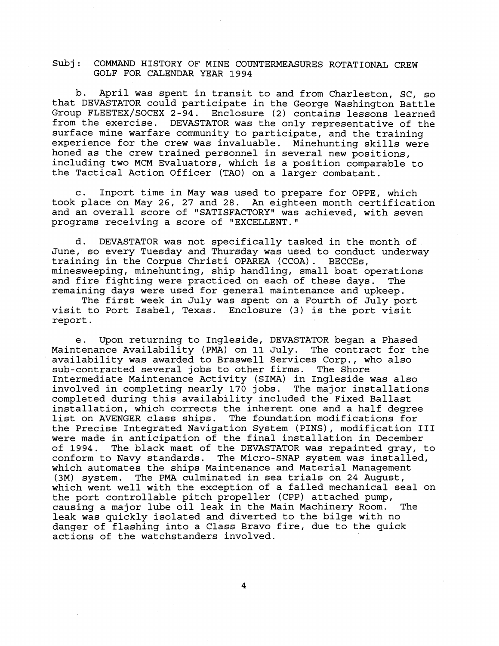b. April was spent in transit to and from Charleston, SC, so that DEVASTATOR could participate in the George Washington Battle Group FLEETEX/SOCEX 2-94. Enclosure (2) contains lessons learned from the exercise. DEVASTATOR was the only representative of the surface mine warfare community to participate, and the training experience for the crew was invaluable. Minehunting skills were honed as the crew trained personnel in several new positions, including two MCM Evaluators, which is a position comparable to the Tactical Action Officer (TAO) on a larger combatant.

c. Inport time in May was used to prepare for OPPE, which took place on May 26, 27 and 28. An eighteen month certification and an overall score of "SATISFACTORY" was achieved, with seven programs receiving a score of "EXCELLENT."

d. DEVASTATOR was not specifically tasked in the month of June, so every Tuesday and Thursday was used to conduct underway training in the Corpus Christi OPAREA (CCOA). BECCEs, minesweeping, minehunting, ship handling, small boat operations<br>and fire fighting were practiced on each of these days. The and fire fighting were practiced on each of these days. remaining days were used for general maintenance and upkeep.

The first week in July was spent on a Fourth of July port visit to Port Isabel, Texas. Enclosure (3) is the port visit report.

e. Upon returning to Ingleside, DEVASTATOR began a Phased Maintenance Availability (PMA) on 11 July. The contract for the availability was awarded to Braswell Services Corp., who also sub-contracted several jobs to other firms. The Shore Intermediate Maintenance Activity (SIMA) in Ingleside was also involved in completing nearly 170 jobs. The major installations completed during this availability included the Fixed Ballast installation, which corrects the inherent one and a half degree<br>list on AVENGER class ships. The foundation modifications for The foundation modifications for the Precise Integrated Navigation System (PINS), modification I11 were made in anticipation of the final installation in December<br>of 1994. The black mast of the DEVASTATOR was repainted gray, The black mast of the DEVASTATOR was repainted gray, to conform to Navy standards. The Micro-SNAP system was installed, which automates the ships Maintenance and Material Management (3M) system. The **PMA** culminated in sea trials on 24 August, which went well with the exception of a failed mechanical seal on the port controllable pitch propeller (CPP) attached pump,<br>causing a major lube oil leak in the Main Machinery Room. The causing a major lube oil leak in the Main Machinery Room. leak was quickly isolated and diverted to the bilge with no danger of flashing into a Class Bravo fire, due to the quick actions of the watchstanders involved.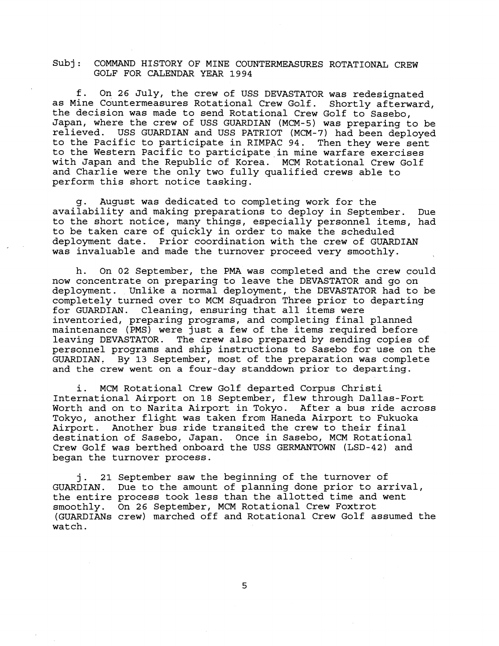f. On 26 July, the crew of USS DEVASTATOR was redesignated as Mine Countermeasures Rotational Crew Golf. Shortly afterward, the decision was made to send Rotational Crew Golf to Sasebo, Japan, where the crew of USS GUARDIAN (MCM-5) was preparing to be relieved. USS GUARDIAN and USS PATRIOT (MCM-7) had been deployed to the Pacific to participate in RIMPAC 94. Then they were sent to the Western Pacific to participate in mine warfare exercises with Japan and the Republic of Korea. MCM Rotational Crew Golf and Charlie were the only two fully qualified crews able to perform this short notice tasking.

August was dedicated to completing work for the availability and making preparations to deploy in September. Due to the short notice, many things, especially personnel items, had to be taken care of quickly in order to make the scheduled deployment date. Prior coordination with the crew of GUARDIAN was invaluable and made the turnover proceed very smoothly.

h. On 02 September, the PMA was completed and the crew could now concentrate on preparing to leave the DEVASTATOR and go on deployment. Unlike a normal deployment, the DEVASTATOR had to be completely turned over to MCM Squadron Three prior to departing for GUARDIAN. Cleaning, ensuring that all items were inventoried, preparing programs, and completing final planned maintenance (PMS) were just a few of the items required before leaving DEVASTATOR. The crew also prepared by sending copies of personnel programs and ship instructions to Sasebo for use on the GUARDIAN, By 13 September, most of the preparation was complete and the crew went on a four-day standdown prior to departing.

i. MCM Rotational Crew Golf departed Corpus Christi International Airport on 18 September, flew through Dallas-Fort Worth and on to Narita Airport in Tokyo. After a bus ride across Tokyo, another flight was taken from Haneda Airport to Fukuoka Airport. Another bus ride transited the crew to their final destination of Sasebo, Japan. Once in Sasebo, MCM Rotational Crew Golf was berthed onboard the USS GERMANTOWN (LSD-42) and began the turnover process.

j. 21 September saw the beginning of the turnover of GUARD IAN. Due to the amount of planning done prior to arrival, the entire process took less than the allotted time and went smoothly. On 26 September, MCM Rotational Crew Foxtrot (GUARDIANS crew) marched off and Rotational Crew Golf assumed the watch.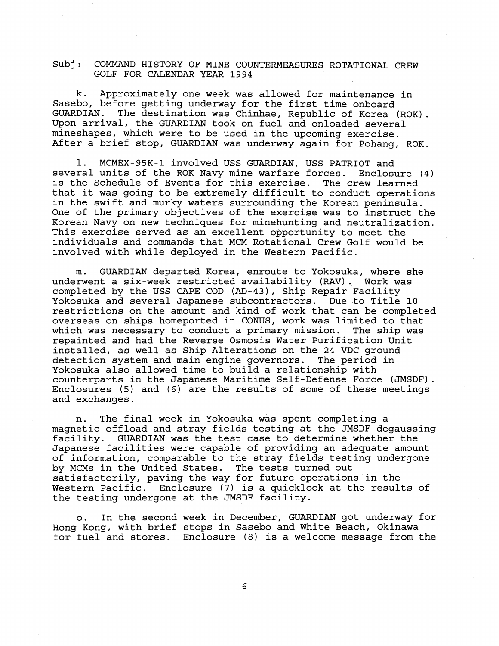k. Approximately one week was allowed for maintenance in Sasebo, before getting underway for the first time onboard<br>GUARDIAN. The destination was Chinhae, Republic of Korea GUARDIAN. The destination was Chinhae, Republic of Korea (ROK) . Upon arrival, the GUARDIAN took on fuel and onloaded several mineshapes, which were to be used in the upcoming exercise. After a brief stop, GUARDIAN was underway again for Pohang, ROK.

1. MCMEX-95K-1 involved USS GUARDIAN, USS PATRIOT and<br>ral units of the ROK Navy mine warfare forces. Enclosure (4) several units of the ROK Navy mine warfare forces. is the Schedule of Events for this exercise. The crew learned that it was going to be extremely difficult to conduct operations in the swift and murky waters surrounding the Korean peninsula. One of the primary objectives of the exercise was to instruct the Korean Navy on new techniques for minehunting and neutralization. This exercise served as an excellent opportunity to meet the individuals and commands that MCM Rotational Crew Golf would be involved with while deployed in the Western Pacific.

m. GUARDIAN departed Korea, enroute to Yokosuka, where she underwent a six-week restricted availability **(RAV)** . Work was completed by the USS CAPE COD (AD-43), Ship Repair Facility Yokosuka and several Japanese subcontractors. Due to Title 10 restrictions on the amount and kind of work that can be completed overseas on ships homeported in CONUS, work was limited to that which was necessary to conduct a primary mission. The ship was repainted and had the Reverse Osmosis Water Purification Unit installed, as well as Ship Alterations on the 24 VDC ground detection system and main engine governors. The period in Yokosuka also allowed time to build a relationship with counterparts in the Japanese Maritime Self-Defense Force (JMSDF). Enclosures (5) and (6) are the results of some of these meetings and exchanges.

n. The final week in Yokosuka was spent completing a magnetic offload and stray fields testing at the JMSDF degaussing facility. GUARDIAN was the test case to determine whether the Japanese facilities were capable of providing an adequate amount of information, comparable to the stray fields testing undergone<br>by MCMs in the United States. The tests turned out by MCMs in the United States. satisfactorily, paving the way for future operations in the Western Pacific. Enclosure **(7)** is a quicklook at the results of the testing undergone at the JMSDF facility.

o. In the second week in December, GUARDIAN got underway for Hong Kong, with brief stops in Sasebo and White Beach, Okinawa for fuel and stores. Enclosure (8) is a welcome message from the